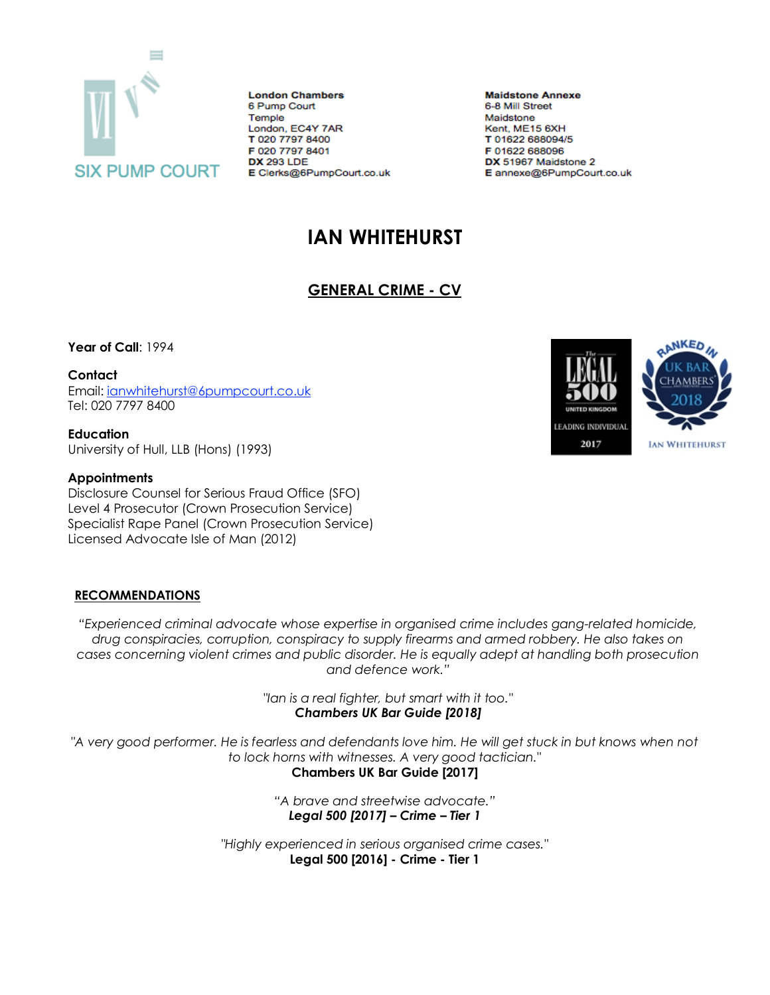

**London Chambers** 6 Pump Court Temple London, EC4Y 7AR T 020 7797 8400 F 020 7797 8401 **DX 293 LDE** E Clerks@6PumpCourt.co.uk

**Maidstone Annexe** 6-8 Mill Street Maidstone Kent, ME15 6XH T 01622 688094/5 F 01622 688096 DX 51967 Maidstone 2 E annexe@6PumpCourt.co.uk

# **IAN WHITEHURST**

## **GENERAL CRIME - CV**

**Year of Call**: 1994

**Contact**

Email: [ianwhitehurst@6pumpcourt.co.uk](mailto:ianwhitehurst@6pumpcourt.co.uk) Tel: 020 7797 8400

**Education** University of Hull, LLB (Hons) (1993)

#### **Appointments**

Disclosure Counsel for Serious Fraud Office (SFO) Level 4 Prosecutor (Crown Prosecution Service) Specialist Rape Panel (Crown Prosecution Service) Licensed Advocate Isle of Man (2012)

#### **RECOMMENDATIONS**

*"Experienced criminal advocate whose expertise in organised crime includes gang-related homicide, drug conspiracies, corruption, conspiracy to supply firearms and armed robbery. He also takes on cases concerning violent crimes and public disorder. He is equally adept at handling both prosecution and defence work."*

> *"Ian is a real fighter, but smart with it too." Chambers UK Bar Guide [2018]*

*"A very good performer. He is fearless and defendants love him. He will get stuck in but knows when not to lock horns with witnesses. A very good tactician."*

**Chambers UK Bar Guide [2017]**

*"A brave and streetwise advocate." Legal 500 [2017] – Crime – Tier 1*

*"Highly experienced in serious organised crime cases."* **Legal 500 [2016] - Crime - Tier 1**